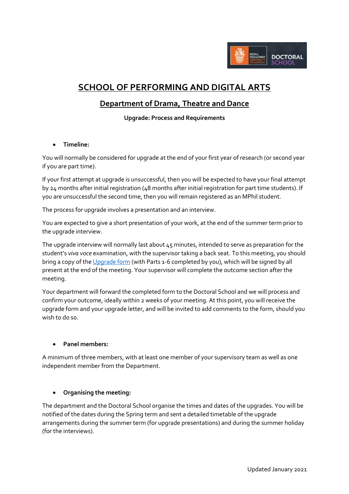

# **SCHOOL OF PERFORMING AND DIGITAL ARTS**

# **Department of Drama, Theatre and Dance**

**Upgrade: Process and Requirements**

### **Timeline:**

You will normally be considered for upgrade at the end of your first year of research (or second year if you are part time).

If your first attempt at upgrade is unsuccessful, then you will be expected to have your final attempt by 24 months after initial registration (48 months after initial registration for part time students). If you are unsuccessful the second time, then you will remain registered as an MPhil student.

The process for upgrade involves a presentation and an interview.

You are expected to give a short presentation of your work, at the end of the summer term prior to the upgrade interview.

The upgrade interview will normally last about 45 minutes, intended to serve as preparation for the student's *viva voce* examination, with the supervisor taking a back seat. To this meeting, you should bring a copy of th[e Upgrade form](https://intranet.royalholloway.ac.uk/doctoral-school/assets/docs/doc/upgrade-form.docx) (with Parts 1-6 completed by you), which will be signed by all present at the end of the meeting. Your supervisor will complete the outcome section after the meeting.

Your department will forward the completed form to the Doctoral School and we will process and confirm your outcome, ideally within 2 weeks of your meeting. At this point, you will receive the upgrade form and your upgrade letter, and will be invited to add comments to the form, should you wish to do so.

#### **Panel members:**

A minimum of three members, with at least one member of your supervisory team as well as one independent member from the Department.

#### **Organising the meeting:**

The department and the Doctoral School organise the times and dates of the upgrades. You will be notified of the dates during the Spring term and sent a detailed timetable of the upgrade arrangements during the summer term (for upgrade presentations) and during the summer holiday (for the interviews).